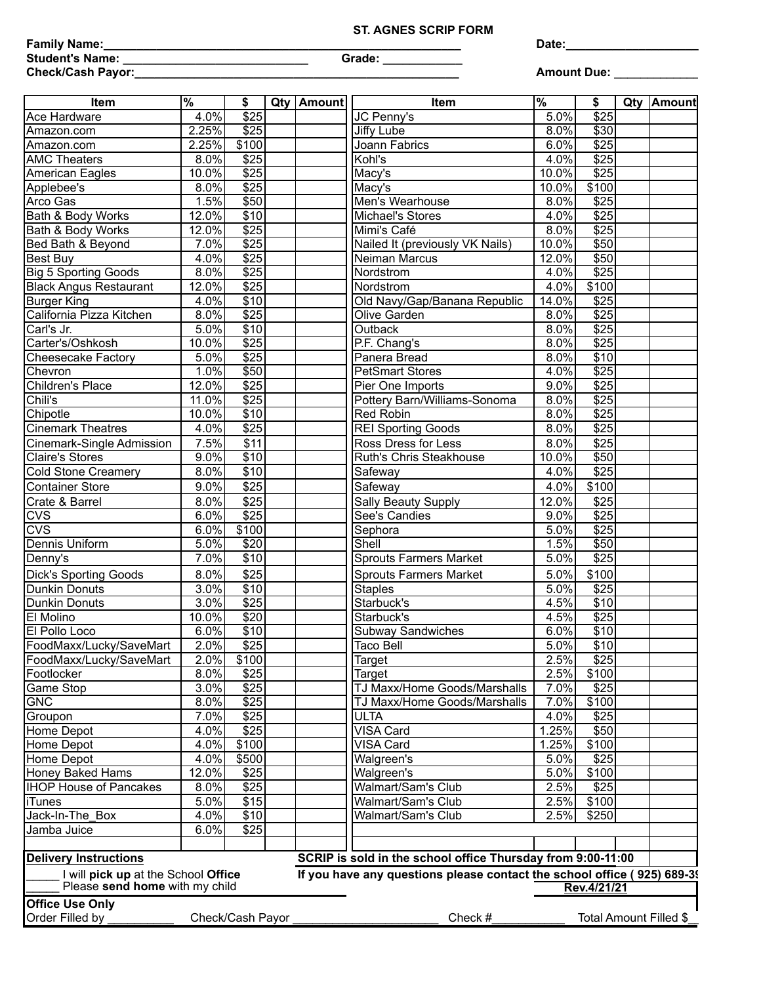## **ST. AGNES SCRIP FORM**

|        | Family Name: |  |
|--------|--------------|--|
| $\sim$ |              |  |

**Student's Name: \_\_\_\_\_\_\_\_\_\_\_\_\_\_\_\_\_\_\_\_\_\_\_\_\_\_\_\_ Grade: \_\_\_\_\_\_\_\_\_\_\_\_** 

**Date:\_\_\_\_\_\_\_\_\_\_\_\_\_\_\_\_\_\_\_\_\_\_\_**

**Check/Cash Payor:\_\_\_\_\_\_\_\_\_\_\_\_\_\_\_\_\_\_\_\_\_\_\_\_\_\_\_\_\_\_\_\_\_\_\_\_\_\_\_\_\_\_\_\_\_\_\_\_\_ Amount Due:** \_\_\_\_\_\_\_\_\_\_\_\_\_\_\_\_

| <b>Item</b>                                                           | %        | \$               |  | Qty   Amount | <b>Item</b>                                                             | $\sqrt{8}$ | \$               | Qty Amount             |
|-----------------------------------------------------------------------|----------|------------------|--|--------------|-------------------------------------------------------------------------|------------|------------------|------------------------|
| Ace Hardware                                                          | 4.0%     | $\overline{$}25$ |  |              | JC Penny's                                                              | 5.0%       | $\overline{$}25$ |                        |
| Amazon.com                                                            | 2.25%    | $\overline{$}25$ |  |              | Jiffy Lube                                                              | 8.0%       | \$30             |                        |
| Amazon.com                                                            | 2.25%    | \$100            |  |              | <b>Joann Fabrics</b>                                                    | 6.0%       | $\overline{$25}$ |                        |
| <b>AMC Theaters</b>                                                   | 8.0%     | $\overline{$25}$ |  |              | Kohl's                                                                  | 4.0%       | $\overline{$25}$ |                        |
| American Eagles                                                       | $10.0\%$ | $\overline{$25}$ |  |              | Macy's                                                                  | 10.0%      | $\overline{$25}$ |                        |
| Applebee's                                                            | 8.0%     | $\overline{$25}$ |  |              | Macy's                                                                  | 10.0%      | \$100            |                        |
| Arco Gas                                                              | 1.5%     | \$50             |  |              | Men's Wearhouse                                                         | 8.0%       | $\overline{$25}$ |                        |
| Bath & Body Works                                                     | 12.0%    | $\overline{$10}$ |  |              | Michael's Stores                                                        | 4.0%       | \$25             |                        |
| Bath & Body Works                                                     | 12.0%    | $\overline{$25}$ |  |              | Mimi's Café                                                             | 8.0%       | $\overline{$25}$ |                        |
| Bed Bath & Beyond                                                     | 7.0%     | $\sqrt{$25}$     |  |              | Nailed It (previously VK Nails)                                         | 10.0%      | \$50             |                        |
| Best Buy                                                              | 4.0%     | $\overline{$25}$ |  |              | Neiman Marcus                                                           | 12.0%      | \$50             |                        |
| <b>Big 5 Sporting Goods</b>                                           | 8.0%     | $\overline{$25}$ |  |              | Nordstrom                                                               | 4.0%       | $\overline{$25}$ |                        |
| <b>Black Angus Restaurant</b>                                         | 12.0%    | $\overline{$25}$ |  |              | Nordstrom                                                               | 4.0%       | \$100            |                        |
| <b>Burger King</b>                                                    | 4.0%     | $\overline{$10}$ |  |              | Old Navy/Gap/Banana Republic                                            | 14.0%      | $\overline{$25}$ |                        |
| California Pizza Kitchen                                              | 8.0%     | $\overline{$25}$ |  |              | Olive Garden                                                            | 8.0%       | $\sqrt{$25}$     |                        |
| Carl's Jr.                                                            | 5.0%     | $\overline{$10}$ |  |              | Outback                                                                 | 8.0%       | \$25             |                        |
| Carter's/Oshkosh                                                      | 10.0%    | $\overline{$}25$ |  |              | P.F. Chang's                                                            | 8.0%       | $\overline{$25}$ |                        |
| <b>Cheesecake Factory</b>                                             | 5.0%     | $\overline{$25}$ |  |              | Panera Bread                                                            | 8.0%       | \$10             |                        |
| Chevron                                                               | 1.0%     | $\overline{$50}$ |  |              | <b>PetSmart Stores</b>                                                  | 4.0%       | $\overline{$25}$ |                        |
| Children's Place                                                      | 12.0%    | $\overline{$25}$ |  |              | Pier One Imports                                                        | 9.0%       | $\overline{$25}$ |                        |
| Chili's                                                               | 11.0%    | $\overline{$}25$ |  |              | Pottery Barn/Williams-Sonoma                                            | 8.0%       | $\overline{$25}$ |                        |
| Chipotle                                                              | 10.0%    | \$10             |  |              | <b>Red Robin</b>                                                        | 8.0%       | $\overline{$25}$ |                        |
| <b>Cinemark Theatres</b>                                              | 4.0%     | $\overline{$25}$ |  |              | <b>REI Sporting Goods</b>                                               | 8.0%       | $\overline{$25}$ |                        |
| Cinemark-Single Admission                                             | 7.5%     | \$11             |  |              | Ross Dress for Less                                                     | 8.0%       | \$25             |                        |
| <b>Claire's Stores</b>                                                | 9.0%     | \$10             |  |              | Ruth's Chris Steakhouse                                                 | 10.0%      | \$50             |                        |
| <b>Cold Stone Creamery</b>                                            | 8.0%     | \$10             |  |              | Safeway                                                                 | 4.0%       | $\overline{$25}$ |                        |
| <b>Container Store</b>                                                | 9.0%     | \$25             |  |              | Safeway                                                                 | 4.0%       | \$100            |                        |
|                                                                       |          | \$25             |  |              |                                                                         |            |                  |                        |
| Crate & Barrel                                                        | 8.0%     | $\overline{$25}$ |  |              | Sally Beauty Supply                                                     | 12.0%      | \$25             |                        |
| <b>CVS</b>                                                            | 6.0%     |                  |  |              | See's Candies                                                           | 9.0%       | \$25             |                        |
| CVS                                                                   | 6.0%     | \$100            |  |              | Sephora                                                                 | 5.0%       | $\overline{$25}$ |                        |
| Dennis Uniform                                                        | 5.0%     | \$20             |  |              | Shell                                                                   | 1.5%       | \$50             |                        |
| Denny's                                                               | 7.0%     | $\overline{$10}$ |  |              | <b>Sprouts Farmers Market</b>                                           | 5.0%       | $\overline{$25}$ |                        |
| <b>Dick's Sporting Goods</b>                                          | 8.0%     | \$25             |  |              | <b>Sprouts Farmers Market</b>                                           | 5.0%       | \$100            |                        |
| <b>Dunkin Donuts</b>                                                  | 3.0%     | $\overline{$10}$ |  |              | <b>Staples</b>                                                          | 5.0%       | $\overline{$25}$ |                        |
| Dunkin Donuts                                                         | 3.0%     | $\overline{$}25$ |  |              | Starbuck's                                                              | 4.5%       | \$10             |                        |
| <b>El Molino</b>                                                      | 10.0%    | $\overline{$20}$ |  |              | Starbuck's                                                              | 4.5%       | $\overline{$25}$ |                        |
| <b>El Pollo Loco</b>                                                  | 6.0%     | \$10             |  |              | <b>Subway Sandwiches</b>                                                | 6.0%       | \$10             |                        |
| FoodMaxx/Lucky/SaveMart                                               | 2.0%     | \$25             |  |              | Taco Bell                                                               | 5.0%       | \$10             |                        |
| FoodMaxx/Lucky/SaveMart                                               | 2.0%     | \$100            |  |              | Target                                                                  | 2.5%       | \$25             |                        |
| Footlocker                                                            | 8.0%     | \$25             |  |              | Target                                                                  | 2.5%       | \$100            |                        |
| Game Stop                                                             | 3.0%     | $\overline{$25}$ |  |              | TJ Maxx/Home Goods/Marshalls                                            | 7.0%       | \$25             |                        |
| <b>GNC</b>                                                            | 8.0%     | $\sqrt{$25}$     |  |              | TJ Maxx/Home Goods/Marshalls                                            | 7.0%       | \$100            |                        |
| Groupon                                                               | 7.0%     | $\overline{$25}$ |  |              | <b>ULTA</b>                                                             | 4.0%       | \$25             |                        |
| Home Depot                                                            | 4.0%     | \$25             |  |              | VISA Card                                                               | 1.25%      | \$50             |                        |
| Home Depot                                                            | 4.0%     | \$100            |  |              | VISA Card                                                               | 1.25%      | \$100            |                        |
| Home Depot                                                            | 4.0%     | \$500            |  |              | Walgreen's                                                              | 5.0%       | $\overline{$}25$ |                        |
| Honey Baked Hams                                                      | 12.0%    | \$25             |  |              | Walgreen's                                                              | 5.0%       | \$100            |                        |
| <b>IHOP House of Pancakes</b>                                         | 8.0%     | \$25             |  |              | Walmart/Sam's Club                                                      | 2.5%       | \$25             |                        |
| <b>iTunes</b>                                                         | 5.0%     | \$15             |  |              | Walmart/Sam's Club                                                      | 2.5%       | \$100            |                        |
| Jack-In-The Box                                                       | 4.0%     | \$10             |  |              | Walmart/Sam's Club                                                      | 2.5%       | \$250]           |                        |
| Jamba Juice                                                           | 6.0%     | $\overline{$25}$ |  |              |                                                                         |            |                  |                        |
|                                                                       |          |                  |  |              |                                                                         |            |                  |                        |
| <b>Delivery Instructions</b>                                          |          |                  |  |              | SCRIP is sold in the school office Thursday from 9:00-11:00             |            |                  |                        |
| I will pick up at the School Office<br>Please send home with my child |          |                  |  |              | If you have any questions please contact the school office (925) 689-39 |            | Rev.4/21/21      |                        |
| <b>Office Use Only</b>                                                |          |                  |  |              |                                                                         |            |                  |                        |
| Order Filled by                                                       |          | Check/Cash Payor |  |              | Check #                                                                 |            |                  | Total Amount Filled \$ |
|                                                                       |          |                  |  |              |                                                                         |            |                  |                        |